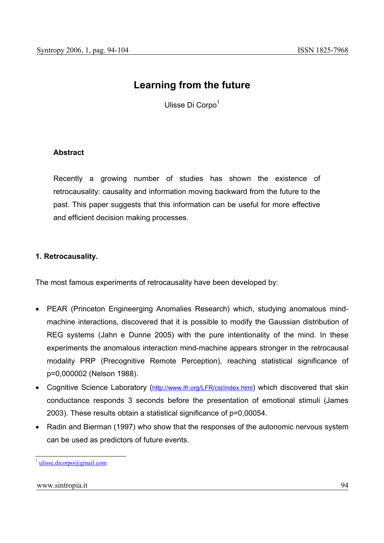# **Learning from the future**

Ulisse Di Corpo<sup>1</sup>

# **Abstract**

Recently a growing number of studies has shown the existence of retrocausality: causality and information moving backward from the future to the past. This paper suggests that this information can be useful for more effective and efficient decision making processes.

# **1. Retrocausality.**

The most famous experiments of retrocausality have been developed by:

- PEAR (Princeton Engineerging Anomalies Research) which, studying anomalous mindmachine interactions, discovered that it is possible to modify the Gaussian distribution of REG systems (Jahn e Dunne 2005) with the pure intentionality of the mind. In these experiments the anomalous interaction mind-machine appears stronger in the retrocausal modality PRP (Precognitive Remote Perception), reaching statistical significance of p=0,000002 (Nelson 1988).
- Cognitive Science Laboratory (http://www.lfr.org/LFR/csl/index.html) which discovered that skin conductance responds 3 seconds before the presentation of emotional stimuli (James 2003). These results obtain a statistical significance of p=0,00054.
- Radin and Bierman (1997) who show that the responses of the autonomic nervous system can be used as predictors of future events.

### www.sintropia.it 94

 $\overline{a}$ 

 $\frac{1}{1}$  ulisse.dicorpo@gmail.com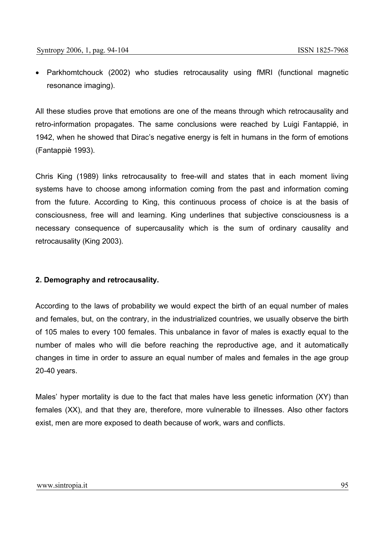• Parkhomtchouck (2002) who studies retrocausality using fMRI (functional magnetic resonance imaging).

All these studies prove that emotions are one of the means through which retrocausality and retro-information propagates. The same conclusions were reached by Luigi Fantappié, in 1942, when he showed that Dirac's negative energy is felt in humans in the form of emotions (Fantappiè 1993).

Chris King (1989) links retrocausality to free-will and states that in each moment living systems have to choose among information coming from the past and information coming from the future. According to King, this continuous process of choice is at the basis of consciousness, free will and learning. King underlines that subjective consciousness is a necessary consequence of supercausality which is the sum of ordinary causality and retrocausality (King 2003).

# **2. Demography and retrocausality.**

According to the laws of probability we would expect the birth of an equal number of males and females, but, on the contrary, in the industrialized countries, we usually observe the birth of 105 males to every 100 females. This unbalance in favor of males is exactly equal to the number of males who will die before reaching the reproductive age, and it automatically changes in time in order to assure an equal number of males and females in the age group 20-40 years.

Males' hyper mortality is due to the fact that males have less genetic information (XY) than females (XX), and that they are, therefore, more vulnerable to illnesses. Also other factors exist, men are more exposed to death because of work, wars and conflicts.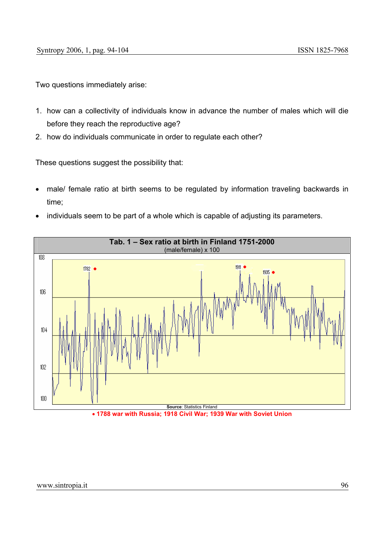Two questions immediately arise:

- 1. how can a collectivity of individuals know in advance the number of males which will die before they reach the reproductive age?
- 2. how do individuals communicate in order to regulate each other?

These questions suggest the possibility that:

- male/ female ratio at birth seems to be regulated by information traveling backwards in time;
- individuals seem to be part of a whole which is capable of adjusting its parameters.



• **1788 war with Russia; 1918 Civil War; 1939 War with Soviet Union**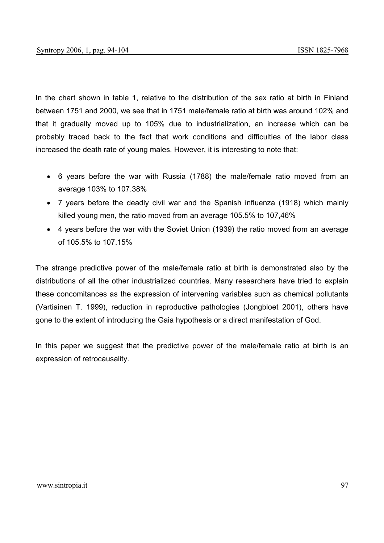In the chart shown in table 1, relative to the distribution of the sex ratio at birth in Finland between 1751 and 2000, we see that in 1751 male/female ratio at birth was around 102% and that it gradually moved up to 105% due to industrialization, an increase which can be probably traced back to the fact that work conditions and difficulties of the labor class increased the death rate of young males. However, it is interesting to note that:

- 6 years before the war with Russia (1788) the male/female ratio moved from an average 103% to 107.38%
- 7 years before the deadly civil war and the Spanish influenza (1918) which mainly killed young men, the ratio moved from an average 105.5% to 107,46%
- 4 years before the war with the Soviet Union (1939) the ratio moved from an average of 105.5% to 107.15%

The strange predictive power of the male/female ratio at birth is demonstrated also by the distributions of all the other industrialized countries. Many researchers have tried to explain these concomitances as the expression of intervening variables such as chemical pollutants (Vartiainen T. 1999), reduction in reproductive pathologies (Jongbloet 2001), others have gone to the extent of introducing the Gaia hypothesis or a direct manifestation of God.

In this paper we suggest that the predictive power of the male/female ratio at birth is an expression of retrocausality.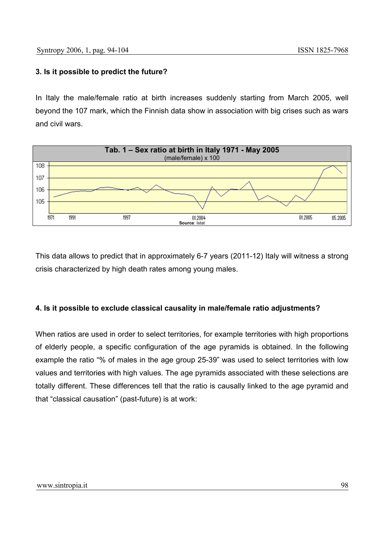# **3. Is it possible to predict the future?**

In Italy the male/female ratio at birth increases suddenly starting from March 2005, well beyond the 107 mark, which the Finnish data show in association with big crises such as wars and civil wars.



This data allows to predict that in approximately 6-7 years (2011-12) Italy will witness a strong crisis characterized by high death rates among young males.

# **4. Is it possible to exclude classical causality in male/female ratio adjustments?**

When ratios are used in order to select territories, for example territories with high proportions of elderly people, a specific configuration of the age pyramids is obtained. In the following example the ratio "% of males in the age group 25-39" was used to select territories with low values and territories with high values. The age pyramids associated with these selections are totally different. These differences tell that the ratio is causally linked to the age pyramid and that "classical causation" (past-future) is at work: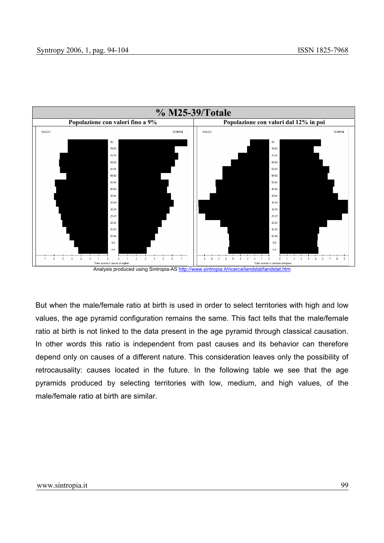

But when the male/female ratio at birth is used in order to select territories with high and low values, the age pyramid configuration remains the same. This fact tells that the male/female ratio at birth is not linked to the data present in the age pyramid through classical causation. In other words this ratio is independent from past causes and its behavior can therefore depend only on causes of a different nature. This consideration leaves only the possibility of retrocausality: causes located in the future. In the following table we see that the age pyramids produced by selecting territories with low, medium, and high values, of the male/female ratio at birth are similar.

#### www.sintropia.it 99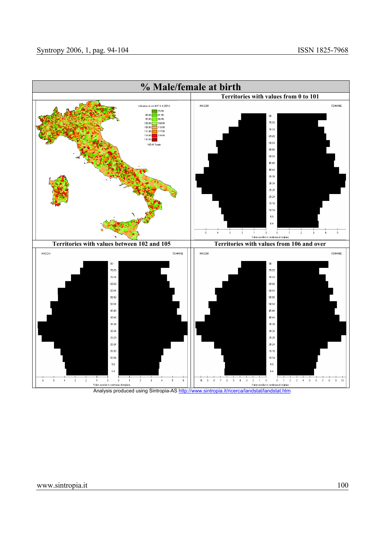

Analysis produced using Sintropia-AS http://www.sintropia.it/ricerca/landstat/landstat.htm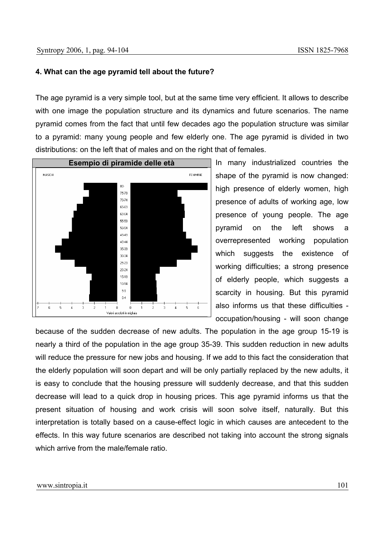### **4. What can the age pyramid tell about the future?**

The age pyramid is a very simple tool, but at the same time very efficient. It allows to describe with one image the population structure and its dynamics and future scenarios. The name pyramid comes from the fact that until few decades ago the population structure was similar to a pyramid: many young people and few elderly one. The age pyramid is divided in two distributions: on the left that of males and on the right that of females.



In many industrialized countries the shape of the pyramid is now changed: high presence of elderly women, high presence of adults of working age, low presence of young people. The age pyramid on the left shows a overrepresented working population which suggests the existence of working difficulties; a strong presence of elderly people, which suggests a scarcity in housing. But this pyramid also informs us that these difficulties occupation/housing - will soon change

because of the sudden decrease of new adults. The population in the age group 15-19 is nearly a third of the population in the age group 35-39. This sudden reduction in new adults will reduce the pressure for new jobs and housing. If we add to this fact the consideration that the elderly population will soon depart and will be only partially replaced by the new adults, it is easy to conclude that the housing pressure will suddenly decrease, and that this sudden decrease will lead to a quick drop in housing prices. This age pyramid informs us that the present situation of housing and work crisis will soon solve itself, naturally. But this interpretation is totally based on a cause-effect logic in which causes are antecedent to the effects. In this way future scenarios are described not taking into account the strong signals which arrive from the male/female ratio.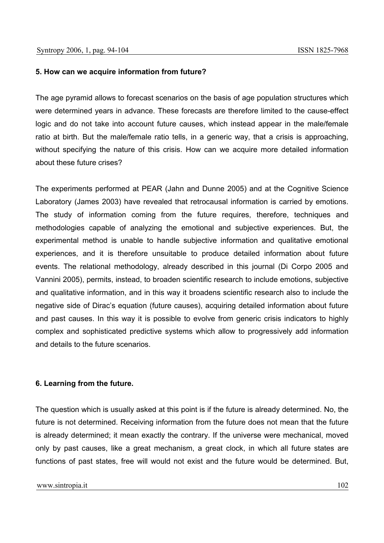# **5. How can we acquire information from future?**

The age pyramid allows to forecast scenarios on the basis of age population structures which were determined years in advance. These forecasts are therefore limited to the cause-effect logic and do not take into account future causes, which instead appear in the male/female ratio at birth. But the male/female ratio tells, in a generic way, that a crisis is approaching, without specifying the nature of this crisis. How can we acquire more detailed information about these future crises?

The experiments performed at PEAR (Jahn and Dunne 2005) and at the Cognitive Science Laboratory (James 2003) have revealed that retrocausal information is carried by emotions. The study of information coming from the future requires, therefore, techniques and methodologies capable of analyzing the emotional and subjective experiences. But, the experimental method is unable to handle subjective information and qualitative emotional experiences, and it is therefore unsuitable to produce detailed information about future events. The relational methodology, already described in this journal (Di Corpo 2005 and Vannini 2005), permits, instead, to broaden scientific research to include emotions, subjective and qualitative information, and in this way it broadens scientific research also to include the negative side of Dirac's equation (future causes), acquiring detailed information about future and past causes. In this way it is possible to evolve from generic crisis indicators to highly complex and sophisticated predictive systems which allow to progressively add information and details to the future scenarios.

# **6. Learning from the future.**

The question which is usually asked at this point is if the future is already determined. No, the future is not determined. Receiving information from the future does not mean that the future is already determined; it mean exactly the contrary. If the universe were mechanical, moved only by past causes, like a great mechanism, a great clock, in which all future states are functions of past states, free will would not exist and the future would be determined. But,

### www.sintropia.it 102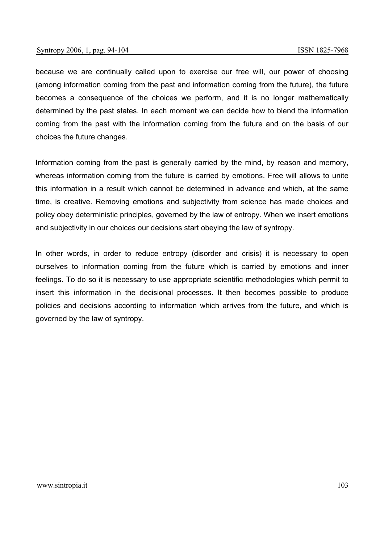because we are continually called upon to exercise our free will, our power of choosing (among information coming from the past and information coming from the future), the future becomes a consequence of the choices we perform, and it is no longer mathematically determined by the past states. In each moment we can decide how to blend the information coming from the past with the information coming from the future and on the basis of our choices the future changes.

Information coming from the past is generally carried by the mind, by reason and memory, whereas information coming from the future is carried by emotions. Free will allows to unite this information in a result which cannot be determined in advance and which, at the same time, is creative. Removing emotions and subjectivity from science has made choices and policy obey deterministic principles, governed by the law of entropy. When we insert emotions and subjectivity in our choices our decisions start obeying the law of syntropy.

In other words, in order to reduce entropy (disorder and crisis) it is necessary to open ourselves to information coming from the future which is carried by emotions and inner feelings. To do so it is necessary to use appropriate scientific methodologies which permit to insert this information in the decisional processes. It then becomes possible to produce policies and decisions according to information which arrives from the future, and which is governed by the law of syntropy.